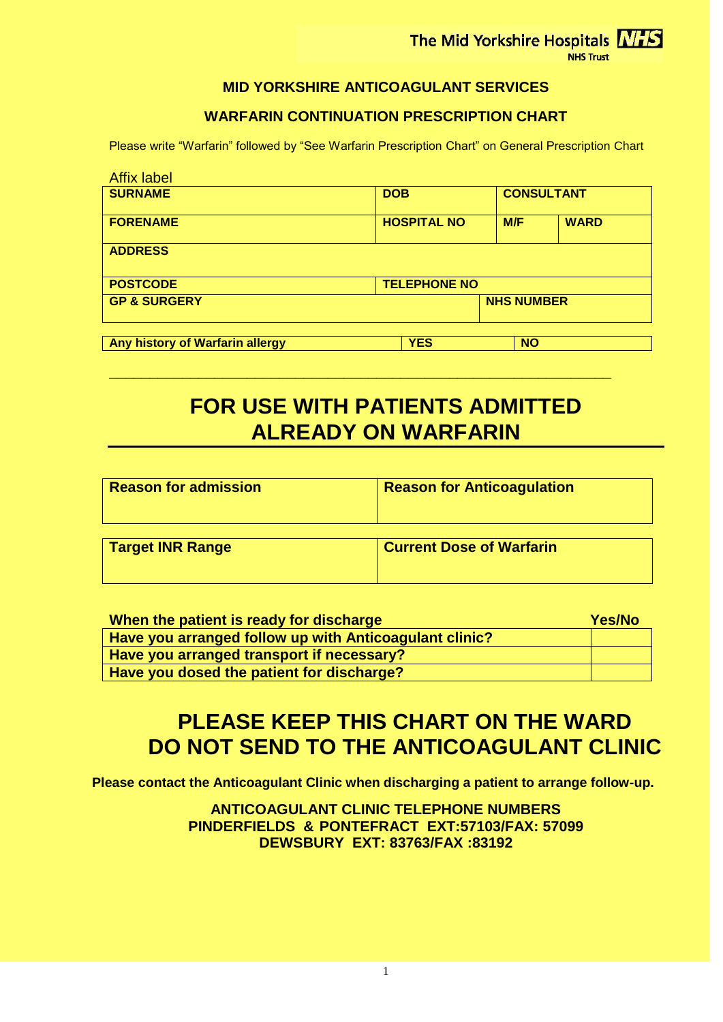The Mid Yorkshire Hospitals NHS

NHS Trust

#### **MID YORKSHIRE ANTICOAGULANT SERVICES**

#### **WARFARIN CONTINUATION PRESCRIPTION CHART**

Please write "Warfarin" followed by "See Warfarin Prescription Chart" on General Prescription Chart

| <b>Affix label</b>              |                     |                   |             |
|---------------------------------|---------------------|-------------------|-------------|
| <b>SURNAME</b>                  | <b>DOB</b>          | <b>CONSULTANT</b> |             |
| <b>FORENAME</b>                 | <b>HOSPITAL NO</b>  | M/F               | <b>WARD</b> |
| <b>ADDRESS</b>                  |                     |                   |             |
| <b>POSTCODE</b>                 | <b>TELEPHONE NO</b> |                   |             |
| <b>GP &amp; SURGERY</b>         | <b>NHS NUMBER</b>   |                   |             |
| Any history of Warfarin allergy | <b>YES</b>          | <b>NO</b>         |             |

# **FOR USE WITH PATIENTS ADMITTED ALREADY ON WARFARIN**

**\_\_\_\_\_\_\_\_\_\_\_\_\_\_\_\_\_\_\_\_\_\_\_\_\_\_\_\_\_\_\_\_\_\_\_\_\_\_\_\_\_\_\_\_\_\_\_\_\_\_\_\_\_\_\_\_\_\_\_\_\_\_**

| <b>Reason for admission</b> | <b>Reason for Anticoagulation</b> |  |  |  |
|-----------------------------|-----------------------------------|--|--|--|
| <b>Target INR Range</b>     | <b>Current Dose of Warfarin</b>   |  |  |  |

| When the patient is ready for discharge                | Yes/No |
|--------------------------------------------------------|--------|
| Have you arranged follow up with Anticoagulant clinic? |        |
| Have you arranged transport if necessary?              |        |
| Have you dosed the patient for discharge?              |        |

## **PLEASE KEEP THIS CHART ON THE WARD DO NOT SEND TO THE ANTICOAGULANT CLINIC**

**Please contact the Anticoagulant Clinic when discharging a patient to arrange follow-up.**

**ANTICOAGULANT CLINIC TELEPHONE NUMBERS PINDERFIELDS & PONTEFRACT EXT:57103/FAX: 57099 DEWSBURY EXT: 83763/FAX :83192**